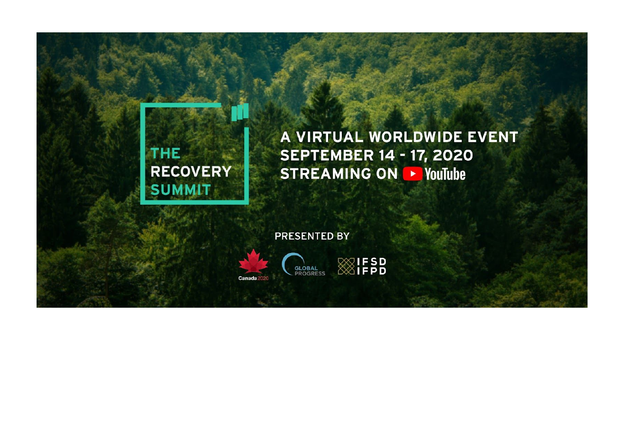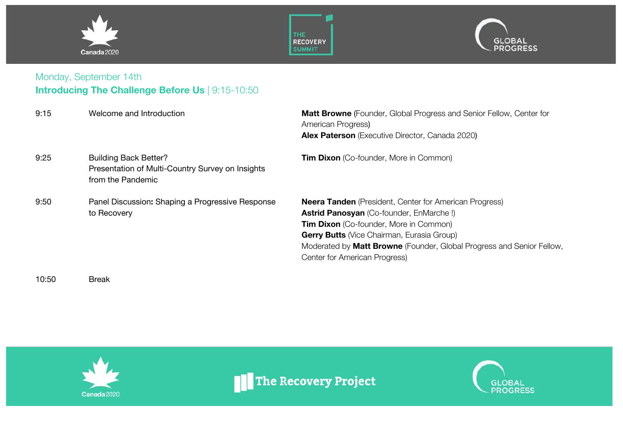





### Monday, September 14th **Introducing The Challenge Before Us** | 9:15-10:50

| 9:15 | Welcome and Introduction                                                                              | <b>Matt Browne</b> (Founder, Global Progress and Senior Fellow, Center for<br>American Progress)<br><b>Alex Paterson</b> (Executive Director, Canada 2020)                                                                                                                                                                      |
|------|-------------------------------------------------------------------------------------------------------|---------------------------------------------------------------------------------------------------------------------------------------------------------------------------------------------------------------------------------------------------------------------------------------------------------------------------------|
| 9:25 | <b>Building Back Better?</b><br>Presentation of Multi-Country Survey on Insights<br>from the Pandemic | <b>Tim Dixon</b> (Co-founder, More in Common)                                                                                                                                                                                                                                                                                   |
| 9:50 | Panel Discussion: Shaping a Progressive Response<br>to Recovery                                       | <b>Neera Tanden</b> (President, Center for American Progress)<br><b>Astrid Panosyan</b> (Co-founder, EnMarche!)<br><b>Tim Dixon</b> (Co-founder, More in Common)<br><b>Gerry Butts</b> (Vice Chairman, Eurasia Group)<br>Moderated by Matt Browne (Founder, Global Progress and Senior Fellow,<br>Center for American Progress) |

10:50 Break



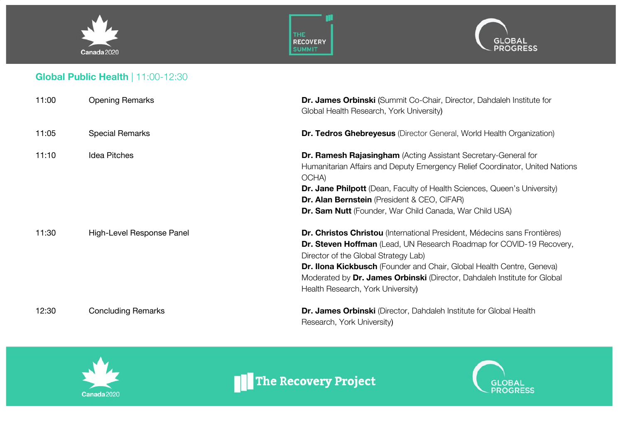





## **Global Public Health** | 11:00-12:30

| 11:00 | <b>Opening Remarks</b>    | Dr. James Orbinski (Summit Co-Chair, Director, Dahdaleh Institute for<br>Global Health Research, York University)                                                                                                                                                                                                                                                                   |
|-------|---------------------------|-------------------------------------------------------------------------------------------------------------------------------------------------------------------------------------------------------------------------------------------------------------------------------------------------------------------------------------------------------------------------------------|
| 11:05 | <b>Special Remarks</b>    | <b>Dr. Tedros Ghebreyesus</b> (Director General, World Health Organization)                                                                                                                                                                                                                                                                                                         |
| 11:10 | <b>Idea Pitches</b>       | <b>Dr. Ramesh Rajasingham</b> (Acting Assistant Secretary-General for<br>Humanitarian Affairs and Deputy Emergency Relief Coordinator, United Nations<br>OCHA)<br><b>Dr. Jane Philpott</b> (Dean, Faculty of Health Sciences, Queen's University)<br>Dr. Alan Bernstein (President & CEO, CIFAR)<br>Dr. Sam Nutt (Founder, War Child Canada, War Child USA)                         |
| 11:30 | High-Level Response Panel | Dr. Christos Christou (International President, Médecins sans Frontières)<br>Dr. Steven Hoffman (Lead, UN Research Roadmap for COVID-19 Recovery,<br>Director of the Global Strategy Lab)<br>Dr. Ilona Kickbusch (Founder and Chair, Global Health Centre, Geneva)<br>Moderated by Dr. James Orbinski (Director, Dahdaleh Institute for Global<br>Health Research, York University) |
| 12:30 | <b>Concluding Remarks</b> | Dr. James Orbinski (Director, Dahdaleh Institute for Global Health<br>Research, York University)                                                                                                                                                                                                                                                                                    |



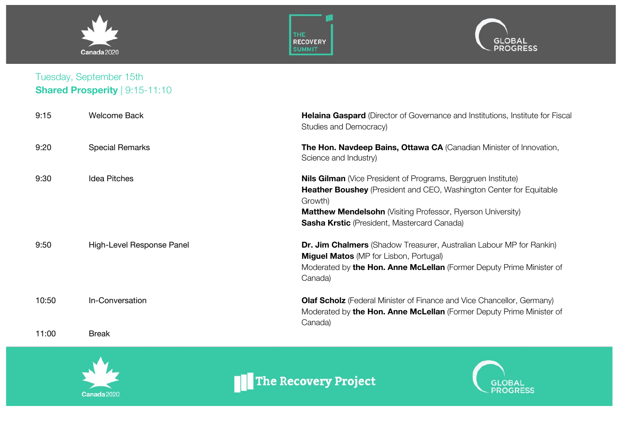





### Tuesday, September 15th **Shared Prosperity** | 9:15-11:10

| 9:15  | <b>Welcome Back</b>       | <b>Helaina Gaspard</b> (Director of Governance and Institutions, Institute for Fiscal<br>Studies and Democracy)                                                                                                                                                                           |
|-------|---------------------------|-------------------------------------------------------------------------------------------------------------------------------------------------------------------------------------------------------------------------------------------------------------------------------------------|
| 9:20  | <b>Special Remarks</b>    | The Hon. Navdeep Bains, Ottawa CA (Canadian Minister of Innovation,<br>Science and Industry)                                                                                                                                                                                              |
| 9:30  | <b>Idea Pitches</b>       | <b>Nils Gilman</b> (Vice President of Programs, Berggruen Institute)<br><b>Heather Boushey</b> (President and CEO, Washington Center for Equitable<br>Growth)<br><b>Matthew Mendelsohn</b> (Visiting Professor, Ryerson University)<br><b>Sasha Krstic</b> (President, Mastercard Canada) |
| 9:50  | High-Level Response Panel | <b>Dr. Jim Chalmers</b> (Shadow Treasurer, Australian Labour MP for Rankin)<br><b>Miguel Matos</b> (MP for Lisbon, Portugal)<br>Moderated by the Hon. Anne McLellan (Former Deputy Prime Minister of<br>Canada)                                                                           |
| 10:50 | In-Conversation           | <b>Olaf Scholz</b> (Federal Minister of Finance and Vice Chancellor, Germany)<br>Moderated by the Hon. Anne McLellan (Former Deputy Prime Minister of<br>Canada)                                                                                                                          |
| 11:00 | Break                     |                                                                                                                                                                                                                                                                                           |



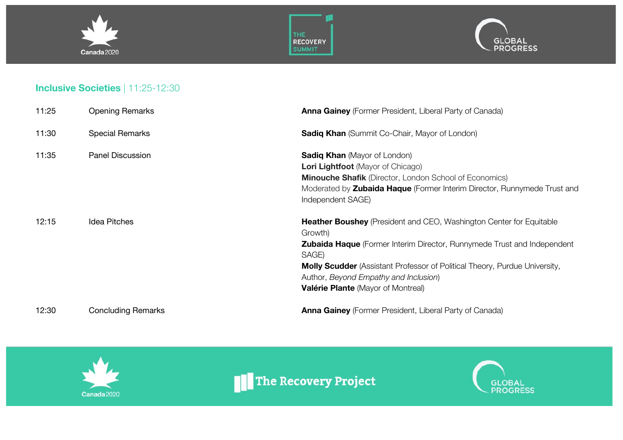





#### **Inclusive Societies** | 11:25-12:30

| 11:25 | <b>Opening Remarks</b>    | <b>Anna Gainey</b> (Former President, Liberal Party of Canada)                                                                                                                                                                                                                                                                                              |
|-------|---------------------------|-------------------------------------------------------------------------------------------------------------------------------------------------------------------------------------------------------------------------------------------------------------------------------------------------------------------------------------------------------------|
| 11:30 | <b>Special Remarks</b>    | <b>Sadiq Khan</b> (Summit Co-Chair, Mayor of London)                                                                                                                                                                                                                                                                                                        |
| 11:35 | <b>Panel Discussion</b>   | <b>Sadiq Khan</b> (Mayor of London)<br><b>Lori Lightfoot</b> (Mayor of Chicago)<br><b>Minouche Shafik</b> (Director, London School of Economics)<br>Moderated by <b>Zubaida Haque</b> (Former Interim Director, Runnymede Trust and<br>Independent SAGE)                                                                                                    |
| 12:15 | <b>Idea Pitches</b>       | <b>Heather Boushey</b> (President and CEO, Washington Center for Equitable<br>Growth)<br><b>Zubaida Haque</b> (Former Interim Director, Runnymede Trust and Independent<br>SAGE)<br><b>Molly Scudder</b> (Assistant Professor of Political Theory, Purdue University,<br>Author, Beyond Empathy and Inclusion)<br><b>Valérie Plante</b> (Mayor of Montreal) |
| 12:30 | <b>Concluding Remarks</b> | <b>Anna Gainey</b> (Former President, Liberal Party of Canada)                                                                                                                                                                                                                                                                                              |



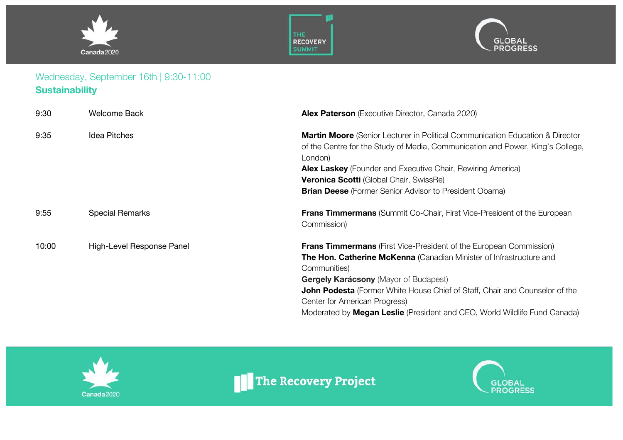





## Wednesday, September 16th | 9:30-11:00 **Sustainability**

| 9:30  | <b>Welcome Back</b>       | <b>Alex Paterson</b> (Executive Director, Canada 2020)                                                                                                                                                                                                                                                                                                                                                               |
|-------|---------------------------|----------------------------------------------------------------------------------------------------------------------------------------------------------------------------------------------------------------------------------------------------------------------------------------------------------------------------------------------------------------------------------------------------------------------|
| 9:35  | <b>Idea Pitches</b>       | <b>Martin Moore</b> (Senior Lecturer in Political Communication Education & Director<br>of the Centre for the Study of Media, Communication and Power, King's College,<br>London)<br><b>Alex Laskey</b> (Founder and Executive Chair, Rewiring America)<br><b>Veronica Scotti</b> (Global Chair, SwissRe)<br><b>Brian Deese</b> (Former Senior Advisor to President Obama)                                           |
| 9:55  | <b>Special Remarks</b>    | Frans Timmermans (Summit Co-Chair, First Vice-President of the European<br>Commission)                                                                                                                                                                                                                                                                                                                               |
| 10:00 | High-Level Response Panel | <b>Frans Timmermans</b> (First Vice-President of the European Commission)<br>The Hon. Catherine McKenna (Canadian Minister of Infrastructure and<br>Communities)<br><b>Gergely Karácsony (Mayor of Budapest)</b><br>John Podesta (Former White House Chief of Staff, Chair and Counselor of the<br>Center for American Progress)<br>Moderated by <b>Megan Leslie</b> (President and CEO, World Wildlife Fund Canada) |



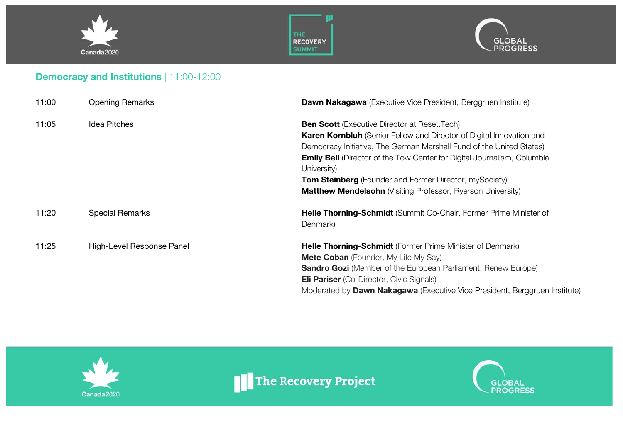





## **Democracy and Institutions** | 11:00-12:00

| 11:00 | <b>Opening Remarks</b>    | <b>Dawn Nakagawa</b> (Executive Vice President, Berggruen Institute)                          |
|-------|---------------------------|-----------------------------------------------------------------------------------------------|
| 11:05 | Idea Pitches              | <b>Ben Scott</b> (Executive Director at Reset. Tech)                                          |
|       |                           | Karen Kornbluh (Senior Fellow and Director of Digital Innovation and                          |
|       |                           | Democracy Initiative, The German Marshall Fund of the United States)                          |
|       |                           | <b>Emily Bell</b> (Director of the Tow Center for Digital Journalism, Columbia<br>University) |
|       |                           | <b>Tom Steinberg</b> (Founder and Former Director, mySociety)                                 |
|       |                           | <b>Matthew Mendelsohn</b> (Visiting Professor, Ryerson University)                            |
| 11:20 | <b>Special Remarks</b>    | Helle Thorning-Schmidt (Summit Co-Chair, Former Prime Minister of<br>Denmark)                 |
| 11:25 | High-Level Response Panel | Helle Thorning-Schmidt (Former Prime Minister of Denmark)                                     |
|       |                           | <b>Mete Coban</b> (Founder, My Life My Say)                                                   |
|       |                           | <b>Sandro Gozi</b> (Member of the European Parliament, Renew Europe)                          |
|       |                           | <b>Eli Pariser</b> (Co-Director, Civic Signals)                                               |
|       |                           | Moderated by <b>Dawn Nakagawa</b> (Executive Vice President, Berggruen Institute)             |